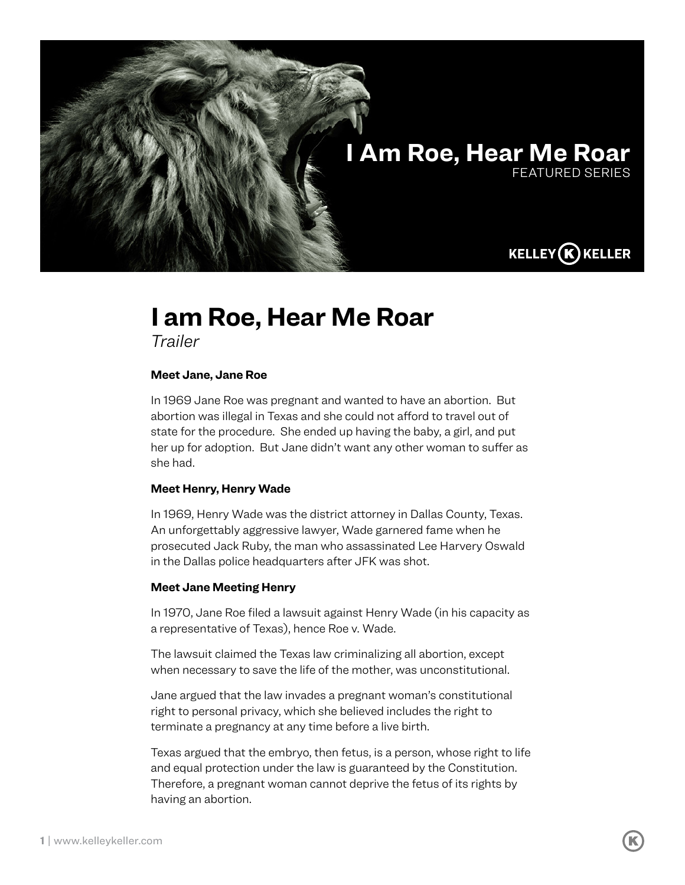

## **I am Roe, Hear Me Roar**

*Trailer*

## **Meet Jane, Jane Roe**

In 1969 Jane Roe was pregnant and wanted to have an abortion. But abortion was illegal in Texas and she could not afford to travel out of state for the procedure. She ended up having the baby, a girl, and put her up for adoption. But Jane didn't want any other woman to suffer as she had.

## **Meet Henry, Henry Wade**

In 1969, Henry Wade was the district attorney in Dallas County, Texas. An unforgettably aggressive lawyer, Wade garnered fame when he prosecuted Jack Ruby, the man who assassinated Lee Harvery Oswald in the Dallas police headquarters after JFK was shot.

## **Meet Jane Meeting Henry**

In 1970, Jane Roe filed a lawsuit against Henry Wade (in his capacity as a representative of Texas), hence Roe v. Wade.

The lawsuit claimed the Texas law criminalizing all abortion, except when necessary to save the life of the mother, was unconstitutional.

Jane argued that the law invades a pregnant woman's constitutional right to personal privacy, which she believed includes the right to terminate a pregnancy at any time before a live birth.

Texas argued that the embryo, then fetus, is a person, whose right to life and equal protection under the law is guaranteed by the Constitution. Therefore, a pregnant woman cannot deprive the fetus of its rights by having an abortion.